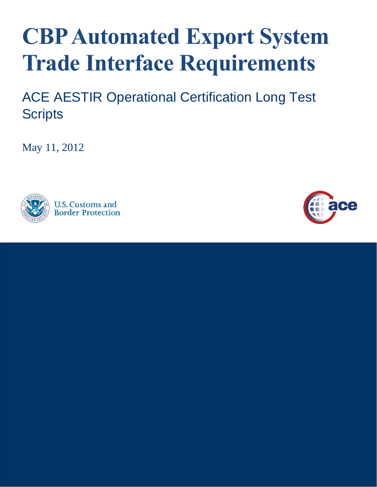## **CBP Automated Export System Trade Interface Requirements**

ACE AESTIR Operational Certification Long Test **Scripts** 

May 11, 2012



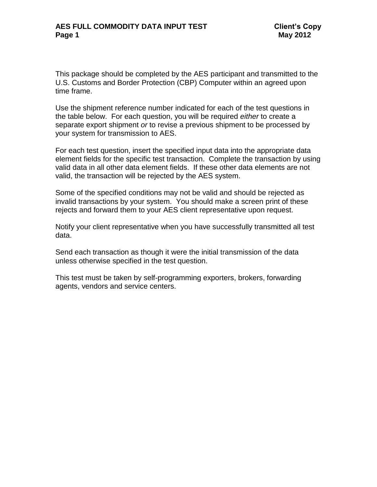This package should be completed by the AES participant and transmitted to the U.S. Customs and Border Protection (CBP) Computer within an agreed upon time frame.

Use the shipment reference number indicated for each of the test questions in the table below. For each question, you will be required *either* to create a separate export shipment *or* to revise a previous shipment to be processed by your system for transmission to AES.

For each test question, insert the specified input data into the appropriate data element fields for the specific test transaction. Complete the transaction by using valid data in all other data element fields. If these other data elements are not valid, the transaction will be rejected by the AES system.

Some of the specified conditions may not be valid and should be rejected as invalid transactions by your system. You should make a screen print of these rejects and forward them to your AES client representative upon request.

Notify your client representative when you have successfully transmitted all test data.

Send each transaction as though it were the initial transmission of the data unless otherwise specified in the test question.

This test must be taken by self-programming exporters, brokers, forwarding agents, vendors and service centers.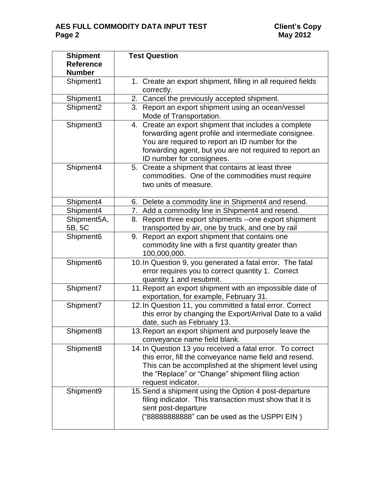## **AES FULL COMMODITY DATA INPUT TEST**<br>Page 2

| <b>Shipment</b><br><b>Reference</b><br><b>Number</b> | <b>Test Question</b>                                                                                                                                                                                                                                        |  |  |  |
|------------------------------------------------------|-------------------------------------------------------------------------------------------------------------------------------------------------------------------------------------------------------------------------------------------------------------|--|--|--|
| Shipment1                                            | 1. Create an export shipment, filling in all required fields<br>correctly.                                                                                                                                                                                  |  |  |  |
| Shipment1                                            | Cancel the previously accepted shipment.<br>2.                                                                                                                                                                                                              |  |  |  |
| Shipment <sub>2</sub>                                | 3.<br>Report an export shipment using an ocean/vessel<br>Mode of Transportation.                                                                                                                                                                            |  |  |  |
| Shipment3                                            | Create an export shipment that includes a complete<br>4.<br>forwarding agent profile and intermediate consignee.<br>You are required to report an ID number for the<br>forwarding agent, but you are not required to report an<br>ID number for consignees. |  |  |  |
| Shipment4                                            | 5. Create a shipment that contains at least three<br>commodities. One of the commodities must require<br>two units of measure.                                                                                                                              |  |  |  |
| Shipment4                                            | 6. Delete a commodity line in Shipment4 and resend.                                                                                                                                                                                                         |  |  |  |
| Shipment4                                            | 7. Add a commodity line in Shipment4 and resend.                                                                                                                                                                                                            |  |  |  |
| Shipment5A,<br>5B, 5C                                | Report three export shipments --one export shipment<br>8.<br>transported by air, one by truck, and one by rail                                                                                                                                              |  |  |  |
| Shipment6                                            | Report an export shipment that contains one<br>9.<br>commodity line with a first quantity greater than<br>100,000,000.                                                                                                                                      |  |  |  |
| Shipment <sub>6</sub>                                | 10. In Question 9, you generated a fatal error. The fatal<br>error requires you to correct quantity 1. Correct<br>quantity 1 and resubmit.                                                                                                                  |  |  |  |
| Shipment7                                            | 11. Report an export shipment with an impossible date of<br>exportation, for example, February 31.                                                                                                                                                          |  |  |  |
| Shipment7                                            | 12. In Question 11, you committed a fatal error. Correct<br>this error by changing the Export/Arrival Date to a valid<br>date, such as February 13.                                                                                                         |  |  |  |
| Shipment <sub>8</sub>                                | 13. Report an export shipment and purposely leave the<br>conveyance name field blank.                                                                                                                                                                       |  |  |  |
| Shipment <sub>8</sub>                                | 14. In Question 13 you received a fatal error. To correct<br>this error, fill the conveyance name field and resend.<br>This can be accomplished at the shipment level using<br>the "Replace" or "Change" shipment filing action<br>request indicator.       |  |  |  |
| Shipment9                                            | 15. Send a shipment using the Option 4 post-departure<br>filing indicator. This transaction must show that it is<br>sent post-departure<br>("888888888888" can be used as the USPPI EIN)                                                                    |  |  |  |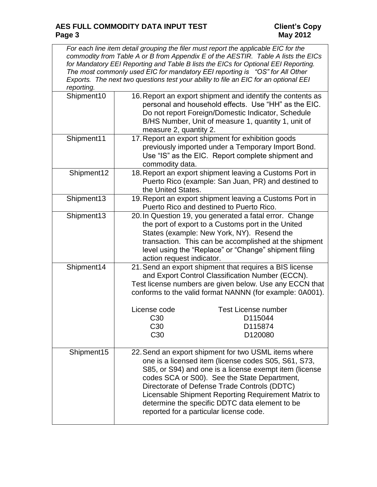*For each line item detail grouping the filer must report the applicable EIC for the commodity from Table A or B from Appendix E of the AESTIR. Table A lists the EICs for Mandatory EEI Reporting and Table B lists the EICs for Optional EEI Reporting. The most commonly used EIC for mandatory EEI reporting is "OS" for All Other Exports. The next two questions test your ability to file an EIC for an optional EEI reporting.* 

| reporting. |                                                                                                                                                                                                                                                                                                                                                                                                                           |  |  |  |
|------------|---------------------------------------------------------------------------------------------------------------------------------------------------------------------------------------------------------------------------------------------------------------------------------------------------------------------------------------------------------------------------------------------------------------------------|--|--|--|
| Shipment10 | 16. Report an export shipment and identify the contents as<br>personal and household effects. Use "HH" as the EIC.<br>Do not report Foreign/Domestic Indicator, Schedule<br>B/HS Number, Unit of measure 1, quantity 1, unit of<br>measure 2, quantity 2.                                                                                                                                                                 |  |  |  |
| Shipment11 | 17. Report an export shipment for exhibition goods<br>previously imported under a Temporary Import Bond.<br>Use "IS" as the EIC. Report complete shipment and<br>commodity data.                                                                                                                                                                                                                                          |  |  |  |
| Shipment12 | 18. Report an export shipment leaving a Customs Port in<br>Puerto Rico (example: San Juan, PR) and destined to<br>the United States.                                                                                                                                                                                                                                                                                      |  |  |  |
| Shipment13 | 19. Report an export shipment leaving a Customs Port in<br>Puerto Rico and destined to Puerto Rico.                                                                                                                                                                                                                                                                                                                       |  |  |  |
| Shipment13 | 20. In Question 19, you generated a fatal error. Change<br>the port of export to a Customs port in the United<br>States (example: New York, NY). Resend the<br>transaction. This can be accomplished at the shipment<br>level using the "Replace" or "Change" shipment filing<br>action request indicator.                                                                                                                |  |  |  |
| Shipment14 | 21. Send an export shipment that requires a BIS license<br>and Export Control Classification Number (ECCN).<br>Test license numbers are given below. Use any ECCN that<br>conforms to the valid format NANNN (for example: 0A001).<br><b>Test License number</b><br>License code<br>C <sub>30</sub><br>D115044<br>C <sub>30</sub><br>D115874<br>C <sub>30</sub><br>D120080                                                |  |  |  |
| Shipment15 | 22. Send an export shipment for two USML items where<br>one is a licensed item (license codes S05, S61, S73<br>S85, or S94) and one is a license exempt item (license<br>codes SCA or S00). See the State Department,<br>Directorate of Defense Trade Controls (DDTC)<br>Licensable Shipment Reporting Requirement Matrix to<br>determine the specific DDTC data element to be<br>reported for a particular license code. |  |  |  |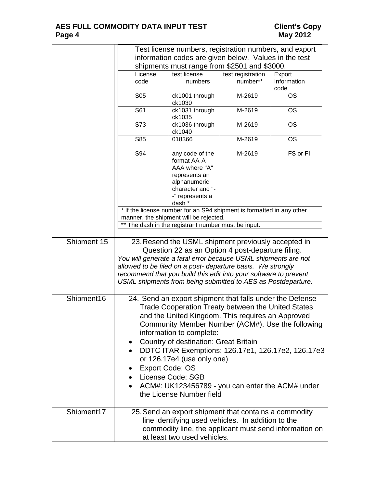|             |                                                                                                                                                                                                                                                                                                                                                                                                                                                                                                                               | Test license numbers, registration numbers, and export                                                                                                                                                                                                                                                                 |                   |                     |  |
|-------------|-------------------------------------------------------------------------------------------------------------------------------------------------------------------------------------------------------------------------------------------------------------------------------------------------------------------------------------------------------------------------------------------------------------------------------------------------------------------------------------------------------------------------------|------------------------------------------------------------------------------------------------------------------------------------------------------------------------------------------------------------------------------------------------------------------------------------------------------------------------|-------------------|---------------------|--|
|             | information codes are given below. Values in the test                                                                                                                                                                                                                                                                                                                                                                                                                                                                         |                                                                                                                                                                                                                                                                                                                        |                   |                     |  |
|             | shipments must range from \$2501 and \$3000.                                                                                                                                                                                                                                                                                                                                                                                                                                                                                  |                                                                                                                                                                                                                                                                                                                        |                   |                     |  |
|             | License                                                                                                                                                                                                                                                                                                                                                                                                                                                                                                                       | test license                                                                                                                                                                                                                                                                                                           | test registration | Export              |  |
|             | code                                                                                                                                                                                                                                                                                                                                                                                                                                                                                                                          | numbers                                                                                                                                                                                                                                                                                                                | number**          | Information<br>code |  |
|             | <b>S05</b>                                                                                                                                                                                                                                                                                                                                                                                                                                                                                                                    | ck1001 through<br>ck1030                                                                                                                                                                                                                                                                                               | M-2619            | <b>OS</b>           |  |
|             | S61                                                                                                                                                                                                                                                                                                                                                                                                                                                                                                                           | ck1031 through<br>ck1035                                                                                                                                                                                                                                                                                               | M-2619            | <b>OS</b>           |  |
|             | $\overline{S73}$                                                                                                                                                                                                                                                                                                                                                                                                                                                                                                              | ck1036 through<br>ck1040                                                                                                                                                                                                                                                                                               | M-2619            | <b>OS</b>           |  |
|             | S85                                                                                                                                                                                                                                                                                                                                                                                                                                                                                                                           | 018366                                                                                                                                                                                                                                                                                                                 | M-2619            | <b>OS</b>           |  |
|             | S94                                                                                                                                                                                                                                                                                                                                                                                                                                                                                                                           | any code of the<br>format AA-A-<br>AAA where "A"<br>represents an<br>alphanumeric<br>character and "-<br>-" represents a<br>dash *                                                                                                                                                                                     | M-2619            | FS or FI            |  |
|             |                                                                                                                                                                                                                                                                                                                                                                                                                                                                                                                               | * If the license number for an S94 shipment is formatted in any other                                                                                                                                                                                                                                                  |                   |                     |  |
|             | manner, the shipment will be rejected.                                                                                                                                                                                                                                                                                                                                                                                                                                                                                        |                                                                                                                                                                                                                                                                                                                        |                   |                     |  |
|             | **                                                                                                                                                                                                                                                                                                                                                                                                                                                                                                                            | The dash in the registrant number must be input.                                                                                                                                                                                                                                                                       |                   |                     |  |
| Shipment 15 |                                                                                                                                                                                                                                                                                                                                                                                                                                                                                                                               | 23. Resend the USML shipment previously accepted in                                                                                                                                                                                                                                                                    |                   |                     |  |
|             |                                                                                                                                                                                                                                                                                                                                                                                                                                                                                                                               | Question 22 as an Option 4 post-departure filing.<br>You will generate a fatal error because USML shipments are not<br>allowed to be filed on a post- departure basis. We strongly<br>recommend that you build this edit into your software to prevent<br>USML shipments from being submitted to AES as Postdeparture. |                   |                     |  |
| Shipment16  | 24. Send an export shipment that falls under the Defense<br>Trade Cooperation Treaty between the United States<br>and the United Kingdom. This requires an Approved<br>Community Member Number (ACM#). Use the following<br>information to complete:<br>Country of destination: Great Britain<br>$\bullet$<br>DDTC ITAR Exemptions: 126.17e1, 126.17e2, 126.17e3<br>or 126.17e4 (use only one)<br><b>Export Code: OS</b><br>License Code: SGB<br>ACM#: UK123456789 - you can enter the ACM# under<br>the License Number field |                                                                                                                                                                                                                                                                                                                        |                   |                     |  |
| Shipment17  | 25. Send an export shipment that contains a commodity<br>line identifying used vehicles. In addition to the<br>commodity line, the applicant must send information on<br>at least two used vehicles.                                                                                                                                                                                                                                                                                                                          |                                                                                                                                                                                                                                                                                                                        |                   |                     |  |